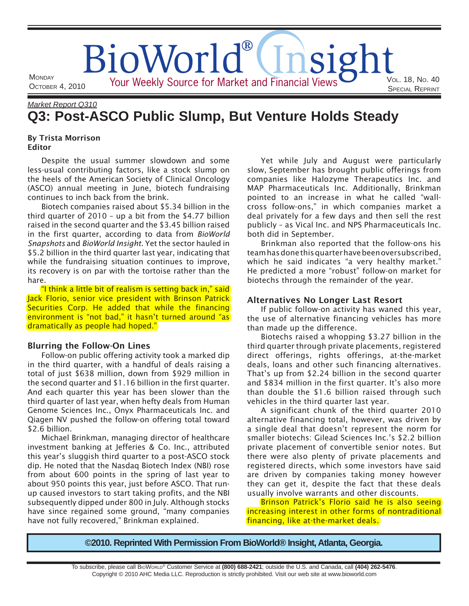# OCTOBER 4, 2010 VOL. 18 , NO. 40 SPECIAL REPRINT BioWorld® Your Weekly Source for Market and Financial Views

# *Market Report Q310* **Q3: Post-ASCO Public Slump, But Venture Holds Steady**

## By Trista Morrison Editor

**MONDAY** 

Despite the usual summer slowdown and some less-usual contributing factors, like a stock slump on the heels of the American Society of Clinical Oncology (ASCO) annual meeting in June, biotech fundraising continues to inch back from the brink.

Biotech companies raised about \$5.34 billion in the third quarter of 2010 – up a bit from the \$4.77 billion raised in the second quarter and the \$3.45 billion raised in the first quarter, according to data from *BioWorld Snapshots* and *BioWorld Insight*. Yet the sector hauled in \$5.2 billion in the third quarter last year, indicating that while the fundraising situation continues to improve, its recovery is on par with the tortoise rather than the hare.

"I think a little bit of realism is setting back in," said Jack Florio, senior vice president with Brinson Patrick Securities Corp. He added that while the financing environment is "not bad," it hasn't turned around "as dramatically as people had hoped."

## Blurring the Follow-On Lines

Follow-on public offering activity took a marked dip in the third quarter, with a handful of deals raising a total of just \$638 million, down from \$929 million in the second quarter and \$1 . 16 billion in the first quarter. And each quarter this year has been slower than the third quarter of last year, when hefty deals from Human Genome Sciences Inc., Onyx Pharmaceuticals Inc. and Qiagen NV pushed the follow-on offering total toward \$2.6 billion.

Michael Brinkman, managing director of healthcare investment banking at Jefferies & Co. Inc., attributed this year's sluggish third quarter to a post-ASCO stock dip. He noted that the Nasdaq Biotech Index (NBI) rose from about 600 points in the spring of last year to about 950 points this year, just before ASCO. That runup caused investors to start taking profits, and the NBI subsequently dipped under 800 in July. Although stocks have since regained some ground, "many companies have not fully recovered," Brinkman explained.

Yet while July and August were particularly slow, September has brought public offerings from companies like Halozyme Therapeutics Inc. and MAP Pharmaceuticals Inc. Additionally, Brinkman pointed to an increase in what he called "wallcross follow-ons," in which companies market a deal privately for a few days and then sell the rest publicly – as Vical Inc. and NPS Pharmaceuticals Inc. both did in September.

Brinkman also reported that the follow-ons his team has done this quarter have been oversubscribed, which he said indicates "a very healthy market." He predicted a more "robust" follow-on market for biotechs through the remainder of the year.

# Alternatives No Longer Last Resort

If public follow-on activity has waned this year, the use of alternative financing vehicles has more than made up the difference.

Biotechs raised a whopping \$3.27 billion in the third quarter through private placements, registered direct offerings, rights offerings, at-the-market deals, loans and other such financing alternatives. That's up from \$2.24 billion in the second quarter and \$834 million in the first quarter. It's also more than double the \$1 .6 billion raised through such vehicles in the third quarter last year.

A significant chunk of the third quarter 2010 alternative financing total, however, was driven by a single deal that doesn't represent the norm for smaller biotechs: Gilead Sciences Inc.'s \$2.2 billion private placement of convertible senior notes. But there were also plenty of private placements and registered directs, which some investors have said are driven by companies taking money however they can get it, despite the fact that these deals usually involve warrants and other discounts.

Brinson Patrick's Florio said he is also seeing increasing interest in other forms of nontraditional financing, like at-the-market deals.

**©2010. Reprinted With Permission From BioWorld® Insight, Atlanta, Georgia.**

To subscribe, please call BIOWORLD® Customer Service at **(800) 688-2421**; outside the U.S. and Canada, call **(404) 262-5476**. Copyright © 2010 AHC Media LLC. Reproduction is strictly prohibited. Visit our web site at www.bioworld.com